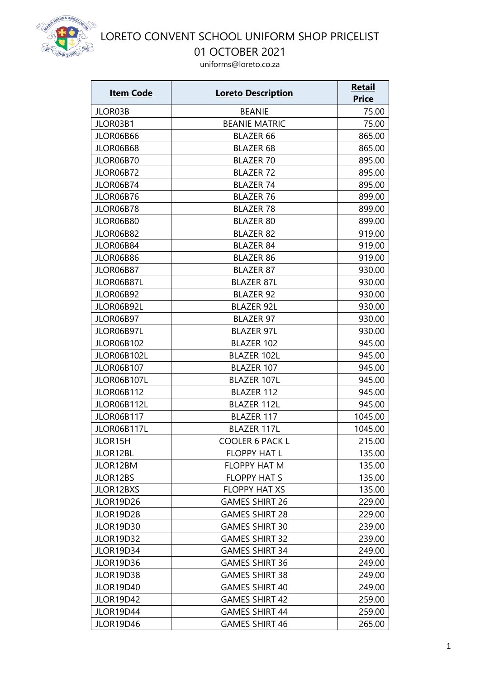

01 OCTOBER 2021

| <u>Item Code</u>  | <b>Loreto Description</b> | <b>Retail</b> |
|-------------------|---------------------------|---------------|
|                   |                           | <b>Price</b>  |
| JLOR03B           | <b>BEANIE</b>             | 75.00         |
| JLOR03B1          | <b>BEANIE MATRIC</b>      | 75.00         |
| JLOR06B66         | <b>BLAZER 66</b>          | 865.00        |
| JLOR06B68         | <b>BLAZER 68</b>          | 865.00        |
| JLOR06B70         | <b>BLAZER 70</b>          | 895.00        |
| <b>JLOR06B72</b>  | <b>BLAZER 72</b>          | 895.00        |
| JLOR06B74         | <b>BLAZER 74</b>          | 895.00        |
| JLOR06B76         | <b>BLAZER 76</b>          | 899.00        |
| JLOR06B78         | <b>BLAZER 78</b>          | 899.00        |
| JLOR06B80         | <b>BLAZER 80</b>          | 899.00        |
| JLOR06B82         | <b>BLAZER 82</b>          | 919.00        |
| JLOR06B84         | <b>BLAZER 84</b>          | 919.00        |
| JLOR06B86         | <b>BLAZER 86</b>          | 919.00        |
| JLOR06B87         | <b>BLAZER 87</b>          | 930.00        |
| JLOR06B87L        | <b>BLAZER 87L</b>         | 930.00        |
| JLOR06B92         | <b>BLAZER 92</b>          | 930.00        |
| JLOR06B92L        | <b>BLAZER 92L</b>         | 930.00        |
| JLOR06B97         | <b>BLAZER 97</b>          | 930.00        |
| JLOR06B97L        | <b>BLAZER 97L</b>         | 930.00        |
| <b>JLOR06B102</b> | <b>BLAZER 102</b>         | 945.00        |
| JLOR06B102L       | <b>BLAZER 102L</b>        | 945.00        |
| <b>JLOR06B107</b> | <b>BLAZER 107</b>         | 945.00        |
| JLOR06B107L       | <b>BLAZER 107L</b>        | 945.00        |
| <b>JLOR06B112</b> | <b>BLAZER 112</b>         | 945.00        |
| JLOR06B112L       | <b>BLAZER 112L</b>        | 945.00        |
| <b>JLOR06B117</b> | <b>BLAZER 117</b>         | 1045.00       |
| JLOR06B117L       | <b>BLAZER 117L</b>        | 1045.00       |
| <b>JLOR15H</b>    | <b>COOLER 6 PACK L</b>    | 215.00        |
| JLOR12BL          | <b>FLOPPY HAT L</b>       | 135.00        |
| JLOR12BM          | <b>FLOPPY HAT M</b>       | 135.00        |
| JLOR12BS          | <b>FLOPPY HAT S</b>       | 135.00        |
| JLOR12BXS         | <b>FLOPPY HAT XS</b>      | 135.00        |
| <b>JLOR19D26</b>  | <b>GAMES SHIRT 26</b>     | 229.00        |
| JLOR19D28         | <b>GAMES SHIRT 28</b>     | 229.00        |
| <b>JLOR19D30</b>  | <b>GAMES SHIRT 30</b>     | 239.00        |
| <b>JLOR19D32</b>  | <b>GAMES SHIRT 32</b>     | 239.00        |
| JLOR19D34         | <b>GAMES SHIRT 34</b>     | 249.00        |
| <b>JLOR19D36</b>  | <b>GAMES SHIRT 36</b>     | 249.00        |
| JLOR19D38         | <b>GAMES SHIRT 38</b>     | 249.00        |
| <b>JLOR19D40</b>  | <b>GAMES SHIRT 40</b>     | 249.00        |
| <b>JLOR19D42</b>  | <b>GAMES SHIRT 42</b>     | 259.00        |
| JLOR19D44         | <b>GAMES SHIRT 44</b>     | 259.00        |
| <b>JLOR19D46</b>  | <b>GAMES SHIRT 46</b>     | 265.00        |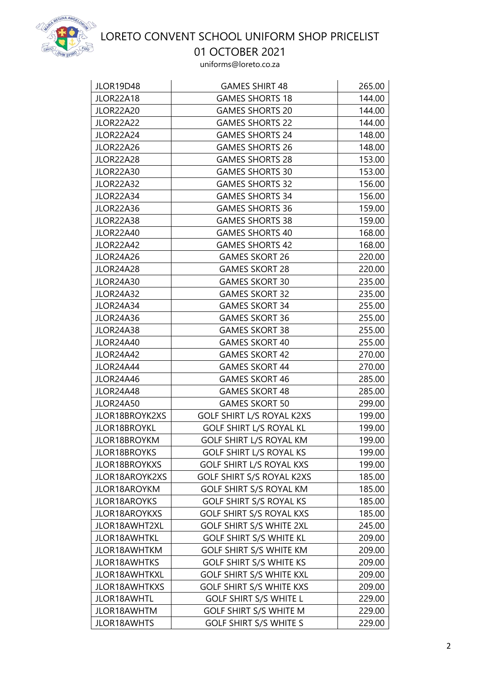

01 OCTOBER 2021

| <b>JLOR19D48</b><br>JLOR22A18        | <b>GAMES SHIRT 48</b><br><b>GAMES SHORTS 18</b>  | 265.00<br>144.00 |
|--------------------------------------|--------------------------------------------------|------------------|
|                                      |                                                  |                  |
| <b>JLOR22A20</b><br><b>JLOR22A22</b> | <b>GAMES SHORTS 20</b><br><b>GAMES SHORTS 22</b> | 144.00<br>144.00 |
| JLOR22A24                            | <b>GAMES SHORTS 24</b>                           | 148.00           |
| <b>JLOR22A26</b>                     | <b>GAMES SHORTS 26</b>                           |                  |
| JLOR22A28                            |                                                  | 148.00           |
|                                      | <b>GAMES SHORTS 28</b><br><b>GAMES SHORTS 30</b> | 153.00           |
| <b>JLOR22A30</b>                     |                                                  | 153.00           |
| JLOR22A32                            | <b>GAMES SHORTS 32</b><br><b>GAMES SHORTS 34</b> | 156.00           |
| JLOR22A34                            |                                                  | 156.00           |
| JLOR22A36                            | <b>GAMES SHORTS 36</b>                           | 159.00           |
| JLOR22A38                            | <b>GAMES SHORTS 38</b>                           | 159.00           |
| <b>JLOR22A40</b>                     | <b>GAMES SHORTS 40</b>                           | 168.00           |
| JLOR22A42                            | <b>GAMES SHORTS 42</b>                           | 168.00           |
| <b>JLOR24A26</b>                     | <b>GAMES SKORT 26</b>                            | 220.00           |
| JLOR24A28                            | <b>GAMES SKORT 28</b>                            | 220.00           |
| JLOR24A30                            | <b>GAMES SKORT 30</b>                            | 235.00           |
| JLOR24A32                            | <b>GAMES SKORT 32</b>                            | 235.00           |
| JLOR24A34                            | <b>GAMES SKORT 34</b>                            | 255.00           |
| JLOR24A36                            | <b>GAMES SKORT 36</b>                            | 255.00           |
| JLOR24A38                            | <b>GAMES SKORT 38</b>                            | 255.00           |
| JLOR24A40                            | <b>GAMES SKORT 40</b>                            | 255.00           |
| JLOR24A42                            | <b>GAMES SKORT 42</b>                            | 270.00           |
| JLOR24A44                            | <b>GAMES SKORT 44</b>                            | 270.00           |
| JLOR24A46                            | <b>GAMES SKORT 46</b>                            | 285.00           |
| JLOR24A48                            | <b>GAMES SKORT 48</b>                            | 285.00           |
| <b>JLOR24A50</b>                     | <b>GAMES SKORT 50</b>                            | 299.00           |
| JLOR18BROYK2XS                       | <b>GOLF SHIRT L/S ROYAL K2XS</b>                 | 199.00           |
| <b>JLOR18BROYKL</b>                  | <b>GOLF SHIRT L/S ROYAL KL</b>                   | 199.00           |
| <b>JLOR18BROYKM</b>                  | <b>GOLF SHIRT L/S ROYAL KM</b>                   | 199.00           |
| <b>JLOR18BROYKS</b>                  | <b>GOLF SHIRT L/S ROYAL KS</b>                   | 199.00           |
| <b>JLOR18BROYKXS</b>                 | <b>GOLF SHIRT L/S ROYAL KXS</b>                  | 199.00           |
| JLOR18AROYK2XS                       | <b>GOLF SHIRT S/S ROYAL K2XS</b>                 | 185.00           |
| JLOR18AROYKM                         | <b>GOLF SHIRT S/S ROYAL KM</b>                   | 185.00           |
| <b>JLOR18AROYKS</b>                  | <b>GOLF SHIRT S/S ROYAL KS</b>                   | 185.00           |
| <b>JLOR18AROYKXS</b>                 | <b>GOLF SHIRT S/S ROYAL KXS</b>                  | 185.00           |
| JLOR18AWHT2XL                        | <b>GOLF SHIRT S/S WHITE 2XL</b>                  | 245.00           |
| JLOR18AWHTKL                         | <b>GOLF SHIRT S/S WHITE KL</b>                   | 209.00           |
| JLOR18AWHTKM                         | <b>GOLF SHIRT S/S WHITE KM</b>                   | 209.00           |
| <b>JLOR18AWHTKS</b>                  | <b>GOLF SHIRT S/S WHITE KS</b>                   | 209.00           |
| JLOR18AWHTKXL                        | <b>GOLF SHIRT S/S WHITE KXL</b>                  | 209.00           |
| JLOR18AWHTKXS                        | <b>GOLF SHIRT S/S WHITE KXS</b>                  | 209.00           |
| JLOR18AWHTL                          | <b>GOLF SHIRT S/S WHITE L</b>                    | 229.00           |
| JLOR18AWHTM                          | <b>GOLF SHIRT S/S WHITE M</b>                    | 229.00           |
| <b>JLOR18AWHTS</b>                   | <b>GOLF SHIRT S/S WHITE S</b>                    | 229.00           |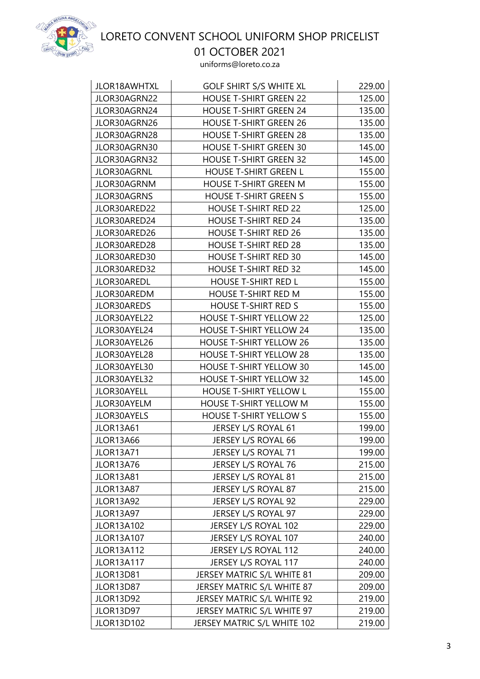

01 OCTOBER 2021

| JLOR18AWHTXL      | <b>GOLF SHIRT S/S WHITE XL</b> | 229.00 |
|-------------------|--------------------------------|--------|
| JLOR30AGRN22      | <b>HOUSE T-SHIRT GREEN 22</b>  | 125.00 |
| JLOR30AGRN24      | <b>HOUSE T-SHIRT GREEN 24</b>  | 135.00 |
| JLOR30AGRN26      | <b>HOUSE T-SHIRT GREEN 26</b>  | 135.00 |
| JLOR30AGRN28      | <b>HOUSE T-SHIRT GREEN 28</b>  | 135.00 |
| JLOR30AGRN30      | <b>HOUSE T-SHIRT GREEN 30</b>  | 145.00 |
| JLOR30AGRN32      | <b>HOUSE T-SHIRT GREEN 32</b>  | 145.00 |
| JLOR30AGRNL       | <b>HOUSE T-SHIRT GREEN L</b>   | 155.00 |
| JLOR30AGRNM       | <b>HOUSE T-SHIRT GREEN M</b>   | 155.00 |
| JLOR30AGRNS       | <b>HOUSE T-SHIRT GREEN S</b>   | 155.00 |
| JLOR30ARED22      | <b>HOUSE T-SHIRT RED 22</b>    | 125.00 |
| JLOR30ARED24      | <b>HOUSE T-SHIRT RED 24</b>    | 135.00 |
| JLOR30ARED26      | <b>HOUSE T-SHIRT RED 26</b>    | 135.00 |
| JLOR30ARED28      | <b>HOUSE T-SHIRT RED 28</b>    | 135.00 |
| JLOR30ARED30      | <b>HOUSE T-SHIRT RED 30</b>    | 145.00 |
| JLOR30ARED32      | <b>HOUSE T-SHIRT RED 32</b>    | 145.00 |
| JLOR30AREDL       | <b>HOUSE T-SHIRT RED L</b>     | 155.00 |
| JLOR30AREDM       | <b>HOUSE T-SHIRT RED M</b>     | 155.00 |
| JLOR30AREDS       | <b>HOUSE T-SHIRT RED S</b>     | 155.00 |
| JLOR30AYEL22      | <b>HOUSE T-SHIRT YELLOW 22</b> | 125.00 |
| JLOR30AYEL24      | <b>HOUSE T-SHIRT YELLOW 24</b> | 135.00 |
| JLOR30AYEL26      | <b>HOUSE T-SHIRT YELLOW 26</b> | 135.00 |
| JLOR30AYEL28      | <b>HOUSE T-SHIRT YELLOW 28</b> | 135.00 |
| JLOR30AYEL30      | <b>HOUSE T-SHIRT YELLOW 30</b> | 145.00 |
| JLOR30AYEL32      | <b>HOUSE T-SHIRT YELLOW 32</b> | 145.00 |
| JLOR30AYELL       | <b>HOUSE T-SHIRT YELLOW L</b>  | 155.00 |
| JLOR30AYELM       | <b>HOUSE T-SHIRT YELLOW M</b>  | 155.00 |
| JLOR30AYELS       | <b>HOUSE T-SHIRT YELLOW S</b>  | 155.00 |
| <b>JLOR13A61</b>  | JERSEY L/S ROYAL 61            | 199.00 |
| <b>JLOR13A66</b>  | JERSEY L/S ROYAL 66            | 199.00 |
| <b>JLOR13A71</b>  | JERSEY L/S ROYAL 71            | 199.00 |
| JLOR13A76         | <b>JERSEY L/S ROYAL 76</b>     | 215.00 |
| <b>JLOR13A81</b>  | JERSEY L/S ROYAL 81            | 215.00 |
| JLOR13A87         | JERSEY L/S ROYAL 87            | 215.00 |
| <b>JLOR13A92</b>  | JERSEY L/S ROYAL 92            | 229.00 |
| JLOR13A97         | JERSEY L/S ROYAL 97            | 229.00 |
| <b>JLOR13A102</b> | JERSEY L/S ROYAL 102           | 229.00 |
| <b>JLOR13A107</b> | JERSEY L/S ROYAL 107           | 240.00 |
| <b>JLOR13A112</b> | JERSEY L/S ROYAL 112           | 240.00 |
| <b>JLOR13A117</b> | JERSEY L/S ROYAL 117           | 240.00 |
| JLOR13D81         | JERSEY MATRIC S/L WHITE 81     | 209.00 |
| JLOR13D87         | JERSEY MATRIC S/L WHITE 87     | 209.00 |
| JLOR13D92         | JERSEY MATRIC S/L WHITE 92     | 219.00 |
| JLOR13D97         | JERSEY MATRIC S/L WHITE 97     | 219.00 |
| <b>JLOR13D102</b> | JERSEY MATRIC S/L WHITE 102    | 219.00 |
|                   |                                |        |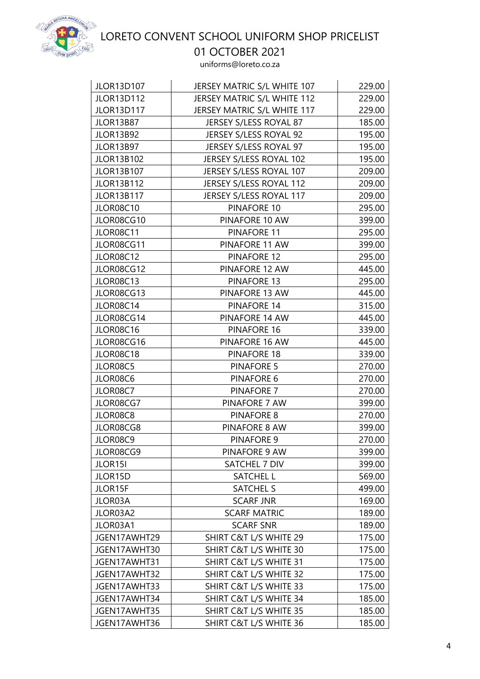

01 OCTOBER 2021

| <b>JLOR13D107</b> | JERSEY MATRIC S/L WHITE 107       | 229.00 |
|-------------------|-----------------------------------|--------|
| <b>JLOR13D112</b> | JERSEY MATRIC S/L WHITE 112       | 229.00 |
| <b>JLOR13D117</b> | JERSEY MATRIC S/L WHITE 117       | 229.00 |
| JLOR13B87         | JERSEY S/LESS ROYAL 87            | 185.00 |
| <b>JLOR13B92</b>  | JERSEY S/LESS ROYAL 92            | 195.00 |
| JLOR13B97         | JERSEY S/LESS ROYAL 97            | 195.00 |
| <b>JLOR13B102</b> | JERSEY S/LESS ROYAL 102           | 195.00 |
| <b>JLOR13B107</b> | JERSEY S/LESS ROYAL 107           | 209.00 |
| <b>JLOR13B112</b> | JERSEY S/LESS ROYAL 112           | 209.00 |
| <b>JLOR13B117</b> | JERSEY S/LESS ROYAL 117           | 209.00 |
| JLOR08C10         | PINAFORE 10                       | 295.00 |
| JLOR08CG10        | PINAFORE 10 AW                    | 399.00 |
| <b>JLOR08C11</b>  | <b>PINAFORE 11</b>                | 295.00 |
| JLOR08CG11        | PINAFORE 11 AW                    | 399.00 |
| JLOR08C12         | <b>PINAFORE 12</b>                | 295.00 |
| JLOR08CG12        | PINAFORE 12 AW                    | 445.00 |
| JLOR08C13         | PINAFORE 13                       | 295.00 |
| JLOR08CG13        | PINAFORE 13 AW                    | 445.00 |
| JLOR08C14         | PINAFORE 14                       | 315.00 |
| JLOR08CG14        | PINAFORE 14 AW                    | 445.00 |
| JLOR08C16         | PINAFORE 16                       | 339.00 |
| JLOR08CG16        | PINAFORE 16 AW                    | 445.00 |
| JLOR08C18         | PINAFORE 18                       | 339.00 |
| JLOR08C5          | <b>PINAFORE 5</b>                 | 270.00 |
| JLOR08C6          | PINAFORE 6                        | 270.00 |
| JLOR08C7          | <b>PINAFORE 7</b>                 | 270.00 |
| JLOR08CG7         | PINAFORE 7 AW                     | 399.00 |
| JLOR08C8          | <b>PINAFORE 8</b>                 | 270.00 |
| JLOR08CG8         | PINAFORE 8 AW                     | 399.00 |
| JLOR08C9          | PINAFORE 9                        | 270.00 |
| JLOR08CG9         | PINAFORE 9 AW                     | 399.00 |
| JLOR15I           | SATCHEL 7 DIV                     | 399.00 |
| JLOR15D           | <b>SATCHEL L</b>                  | 569.00 |
| JLOR15F           | SATCHEL S                         | 499.00 |
| JLOR03A           | <b>SCARF JNR</b>                  | 169.00 |
| JLOR03A2          | <b>SCARF MATRIC</b>               | 189.00 |
| JLOR03A1          | <b>SCARF SNR</b>                  | 189.00 |
| JGEN17AWHT29      | <b>SHIRT C&amp;T L/S WHITE 29</b> | 175.00 |
| JGEN17AWHT30      | SHIRT C&T L/S WHITE 30            | 175.00 |
| JGEN17AWHT31      | SHIRT C&T L/S WHITE 31            | 175.00 |
| JGEN17AWHT32      | <b>SHIRT C&amp;T L/S WHITE 32</b> | 175.00 |
| JGEN17AWHT33      | <b>SHIRT C&amp;T L/S WHITE 33</b> | 175.00 |
| JGEN17AWHT34      | <b>SHIRT C&amp;T L/S WHITE 34</b> | 185.00 |
| JGEN17AWHT35      | SHIRT C&T L/S WHITE 35            | 185.00 |
| JGEN17AWHT36      | SHIRT C&T L/S WHITE 36            | 185.00 |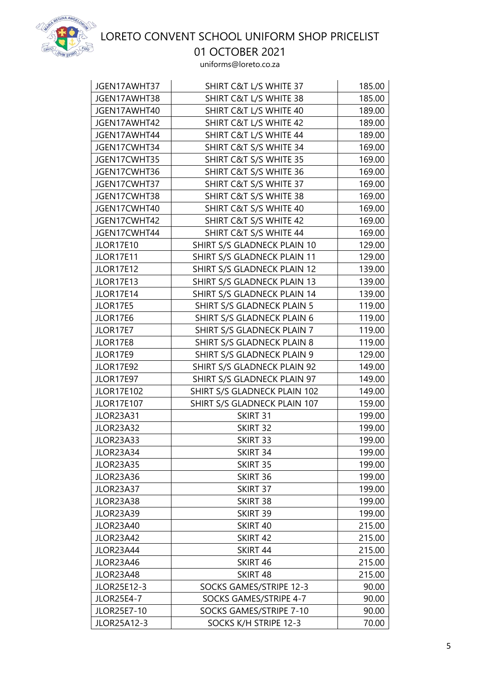

01 OCTOBER 2021

| JGEN17AWHT37      | SHIRT C&T L/S WHITE 37            | 185.00 |
|-------------------|-----------------------------------|--------|
| JGEN17AWHT38      | <b>SHIRT C&amp;T L/S WHITE 38</b> | 185.00 |
| JGEN17AWHT40      | SHIRT C&T L/S WHITE 40            | 189.00 |
| JGEN17AWHT42      | SHIRT C&T L/S WHITE 42            | 189.00 |
| JGEN17AWHT44      | SHIRT C&T L/S WHITE 44            | 189.00 |
| JGEN17CWHT34      | SHIRT C&T S/S WHITE 34            | 169.00 |
| JGEN17CWHT35      | SHIRT C&T S/S WHITE 35            | 169.00 |
| JGEN17CWHT36      | SHIRT C&T S/S WHITE 36            | 169.00 |
| JGEN17CWHT37      | SHIRT C&T S/S WHITE 37            | 169.00 |
| JGEN17CWHT38      | SHIRT C&T S/S WHITE 38            | 169.00 |
| JGEN17CWHT40      | SHIRT C&T S/S WHITE 40            | 169.00 |
| JGEN17CWHT42      | SHIRT C&T S/S WHITE 42            | 169.00 |
| JGEN17CWHT44      | SHIRT C&T S/S WHITE 44            | 169.00 |
| <b>JLOR17E10</b>  | SHIRT S/S GLADNECK PLAIN 10       | 129.00 |
| <b>JLOR17E11</b>  | SHIRT S/S GLADNECK PLAIN 11       | 129.00 |
| <b>JLOR17E12</b>  | SHIRT S/S GLADNECK PLAIN 12       | 139.00 |
| <b>JLOR17E13</b>  | SHIRT S/S GLADNECK PLAIN 13       | 139.00 |
| JLOR17E14         | SHIRT S/S GLADNECK PLAIN 14       | 139.00 |
| JLOR17E5          | SHIRT S/S GLADNECK PLAIN 5        | 119.00 |
| JLOR17E6          | <b>SHIRT S/S GLADNECK PLAIN 6</b> | 119.00 |
| JLOR17E7          | SHIRT S/S GLADNECK PLAIN 7        | 119.00 |
| JLOR17E8          | <b>SHIRT S/S GLADNECK PLAIN 8</b> | 119.00 |
| JLOR17E9          | SHIRT S/S GLADNECK PLAIN 9        | 129.00 |
| <b>JLOR17E92</b>  | SHIRT S/S GLADNECK PLAIN 92       | 149.00 |
| <b>JLOR17E97</b>  | SHIRT S/S GLADNECK PLAIN 97       | 149.00 |
| <b>JLOR17E102</b> | SHIRT S/S GLADNECK PLAIN 102      | 149.00 |
| <b>JLOR17E107</b> | SHIRT S/S GLADNECK PLAIN 107      | 159.00 |
| <b>JLOR23A31</b>  | SKIRT 31                          | 199.00 |
| JLOR23A32         | SKIRT 32                          | 199.00 |
| JLOR23A33         | SKIRT 33                          | 199.00 |
| JLOR23A34         | SKIRT 34                          | 199.00 |
| <b>JLOR23A35</b>  | SKIRT 35                          | 199.00 |
| JLOR23A36         | SKIRT 36                          | 199.00 |
| JLOR23A37         | SKIRT 37                          | 199.00 |
| JLOR23A38         | SKIRT 38                          | 199.00 |
| JLOR23A39         | SKIRT 39                          | 199.00 |
| <b>JLOR23A40</b>  | SKIRT 40                          | 215.00 |
| <b>JLOR23A42</b>  | SKIRT 42                          | 215.00 |
| JLOR23A44         | SKIRT 44                          | 215.00 |
| <b>JLOR23A46</b>  | SKIRT 46                          | 215.00 |
| JLOR23A48         | SKIRT 48                          | 215.00 |
| JLOR25E12-3       | SOCKS GAMES/STRIPE 12-3           | 90.00  |
| <b>JLOR25E4-7</b> | SOCKS GAMES/STRIPE 4-7            | 90.00  |
| JLOR25E7-10       | SOCKS GAMES/STRIPE 7-10           | 90.00  |
| JLOR25A12-3       | SOCKS K/H STRIPE 12-3             | 70.00  |
|                   |                                   |        |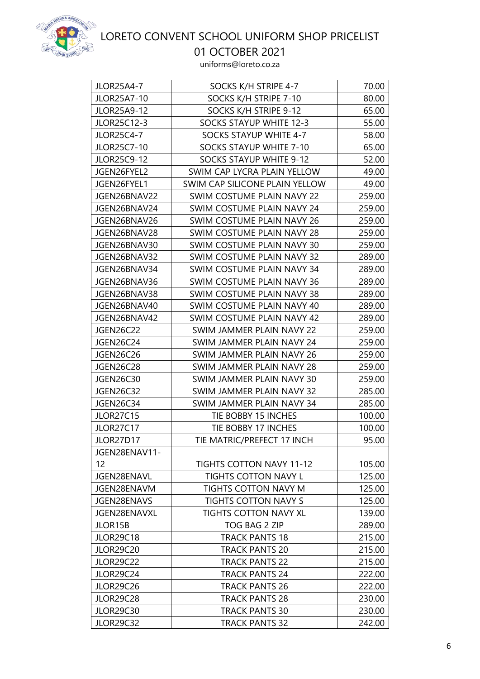

01 OCTOBER 2021

| <b>JLOR25A4-7</b>  | SOCKS K/H STRIPE 4-7            | 70.00  |
|--------------------|---------------------------------|--------|
| JLOR25A7-10        | SOCKS K/H STRIPE 7-10           | 80.00  |
| <b>JLOR25A9-12</b> | SOCKS K/H STRIPE 9-12           | 65.00  |
| JLOR25C12-3        | SOCKS STAYUP WHITE 12-3         | 55.00  |
| <b>JLOR25C4-7</b>  | SOCKS STAYUP WHITE 4-7          | 58.00  |
| JLOR25C7-10        | <b>SOCKS STAYUP WHITE 7-10</b>  | 65.00  |
| <b>JLOR25C9-12</b> | SOCKS STAYUP WHITE 9-12         | 52.00  |
| JGEN26FYEL2        | SWIM CAP LYCRA PLAIN YELLOW     | 49.00  |
| JGEN26FYEL1        | SWIM CAP SILICONE PLAIN YELLOW  | 49.00  |
| JGEN26BNAV22       | SWIM COSTUME PLAIN NAVY 22      | 259.00 |
| JGEN26BNAV24       | SWIM COSTUME PLAIN NAVY 24      | 259.00 |
| JGEN26BNAV26       | SWIM COSTUME PLAIN NAVY 26      | 259.00 |
| JGEN26BNAV28       | SWIM COSTUME PLAIN NAVY 28      | 259.00 |
| JGEN26BNAV30       | SWIM COSTUME PLAIN NAVY 30      | 259.00 |
| JGEN26BNAV32       | SWIM COSTUME PLAIN NAVY 32      | 289.00 |
| JGEN26BNAV34       | SWIM COSTUME PLAIN NAVY 34      | 289.00 |
| JGEN26BNAV36       | SWIM COSTUME PLAIN NAVY 36      | 289.00 |
| JGEN26BNAV38       | SWIM COSTUME PLAIN NAVY 38      | 289.00 |
| JGEN26BNAV40       | SWIM COSTUME PLAIN NAVY 40      | 289.00 |
| JGEN26BNAV42       | SWIM COSTUME PLAIN NAVY 42      | 289.00 |
| <b>JGEN26C22</b>   | SWIM JAMMER PLAIN NAVY 22       | 259.00 |
| <b>JGEN26C24</b>   | SWIM JAMMER PLAIN NAVY 24       | 259.00 |
| <b>JGEN26C26</b>   | SWIM JAMMER PLAIN NAVY 26       | 259.00 |
| <b>JGEN26C28</b>   | SWIM JAMMER PLAIN NAVY 28       | 259.00 |
| <b>JGEN26C30</b>   | SWIM JAMMER PLAIN NAVY 30       | 259.00 |
| <b>JGEN26C32</b>   | SWIM JAMMER PLAIN NAVY 32       | 285.00 |
| JGEN26C34          | SWIM JAMMER PLAIN NAVY 34       | 285.00 |
| <b>JLOR27C15</b>   | TIE BOBBY 15 INCHES             | 100.00 |
| JLOR27C17          | TIE BOBBY 17 INCHES             | 100.00 |
| JLOR27D17          | TIE MATRIC/PREFECT 17 INCH      | 95.00  |
| JGEN28ENAV11-      |                                 |        |
| 12                 | <b>TIGHTS COTTON NAVY 11-12</b> | 105.00 |
| JGEN28ENAVL        | TIGHTS COTTON NAVY L            | 125.00 |
| JGEN28ENAVM        | <b>TIGHTS COTTON NAVY M</b>     | 125.00 |
| JGEN28ENAVS        | <b>TIGHTS COTTON NAVY S</b>     | 125.00 |
| JGEN28ENAVXL       | <b>TIGHTS COTTON NAVY XL</b>    | 139.00 |
| JLOR15B            | TOG BAG 2 ZIP                   | 289.00 |
| <b>JLOR29C18</b>   | <b>TRACK PANTS 18</b>           | 215.00 |
| <b>JLOR29C20</b>   | <b>TRACK PANTS 20</b>           | 215.00 |
| <b>JLOR29C22</b>   | <b>TRACK PANTS 22</b>           | 215.00 |
| JLOR29C24          | TRACK PANTS 24                  | 222.00 |
| JLOR29C26          | <b>TRACK PANTS 26</b>           | 222.00 |
| <b>JLOR29C28</b>   | <b>TRACK PANTS 28</b>           | 230.00 |
| <b>JLOR29C30</b>   | <b>TRACK PANTS 30</b>           | 230.00 |
| <b>JLOR29C32</b>   | <b>TRACK PANTS 32</b>           | 242.00 |